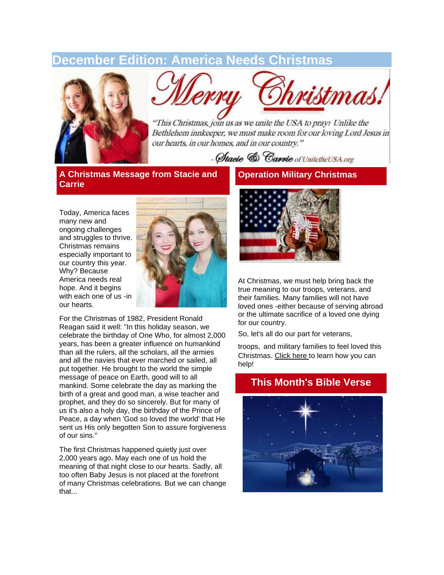# **December Edition: America Needs Christmas**



ristmas.

"This Christmas, join us as we unite the USA to pray! Unlike the Bethlehem innkeeper, we must make room for our loving Lord Jesus in our hearts, in our homes, and in our country."

- Stacie & Carrie of UnitetheUSA.org

**A Christmas Message from Stacie and Carrie**

Today, America faces many new and ongoing challenges and struggles to thrive. Christmas remains especially important to our country this year. Why? Because America needs real hope. And it begins with each one of us -in our hearts.



For the Christmas of 1982, President Ronald Reagan said it well: "In this holiday season, we celebrate the birthday of One Who, for almost 2,000 years, has been a greater influence on humankind than all the rulers, all the scholars, all the armies and all the navies that ever marched or sailed, all put together. He brought to the world the simple message of peace on Earth, good will to all mankind. Some celebrate the day as marking the birth of a great and good man, a wise teacher and prophet, and they do so sincerely. But for many of us it's also a holy day, the birthday of the Prince of Peace, a day when 'God so loved the world' that He sent us His only begotten Son to assure forgiveness of our sins."

The first Christmas happened quietly just over 2,000 years ago. May each one of us hold the meaning of that night close to our hearts. Sadly, all too often Baby Jesus is not placed at the forefront of many Christmas celebrations. But we can change that...

### **Operation Military Christmas**



At Christmas, we must help bring back the true meaning to our troops, veterans, and their families. Many families will not have loved ones -either because of serving abroad or the ultimate sacrifice of a loved one dying for our country.

So, let's all do our part for veterans,

troops, and military families to feel loved this Christmas. [Click here](http://unitetheusa.org/id124.html) to learn how you can help!



### **This Month's Bible Verse**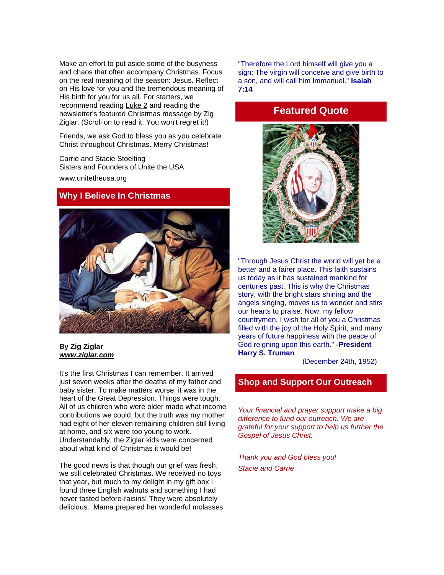Make an effort to put aside some of the busyness and chaos that often accompany Christmas. Focus on the real meaning of the season: Jesus. Reflect on His love for you and the tremendous meaning of His birth for you for us all. For starters, we recommend reading [Luke 2](https://www.biblegateway.com/passage/?search=Luke+2&version=ESV) and reading the newsletter's featured Christmas message by Zig Ziglar. (Scroll on to read it. You won't regret it!)

Friends, we ask God to bless you as you celebrate Christ throughout Christmas. Merry Christmas!

Carrie and Stacie Stoelting Sisters and Founders of Unite the USA [www.unitetheusa.org](http://www.unitetheusa.org/) 

#### **Why I Believe In Christmas**



#### **By Zig Ziglar** *[www.ziglar.com](http://r20.rs6.net/tn.jsp?e=001I5X71daTzAokpKkQ6KekaZax3aBy_YRWTDdVDM8YqYCq9bHXE__S7GA9k8vQflZ-tR8qL7_x9YTQAQnb1TzpEq2-VuFgLenC2hxBKxAlWAA=)*

It's the first Christmas I can remember. It arrived just seven weeks after the deaths of my father and baby sister. To make matters worse, it was in the heart of the Great Depression. Things were tough. All of us children who were older made what income contributions we could, but the truth was my mother had eight of her eleven remaining children still living at home, and six were too young to work. Understandably, the Ziglar kids were concerned about what kind of Christmas it would be!

The good news is that though our grief was fresh, we still celebrated Christmas. We received no toys that year, but much to my delight in my gift box I found three English walnuts and something I had never tasted before-raisins! They were absolutely delicious. Mama prepared her wonderful molasses

"Therefore the Lord himself will give you a sign: The virgin will conceive and give birth to a son, and will call him Immanuel." **Isaiah 7:14**

## **Featured Quote**



"Through Jesus Christ the world will yet be a better and a fairer place. This faith sustains us today as it has sustained mankind for centuries past. This is why the Christmas story, with the bright stars shining and the angels singing, moves us to wonder and stirs our hearts to praise. Now, my fellow countrymen, I wish for all of you a Christmas filled with the joy of the Holy Spirit, and many years of future happiness with the peace of God reigning upon this earth." **-President Harry S. Truman**

(December 24th, 1952)

### **Shop and Support Our Outreach**

*Your financial and prayer support make a big difference to fund our outreach. We are grateful for your support to help us further the Gospel of Jesus Christ.*

*Thank you and God bless you! Stacie and Carrie*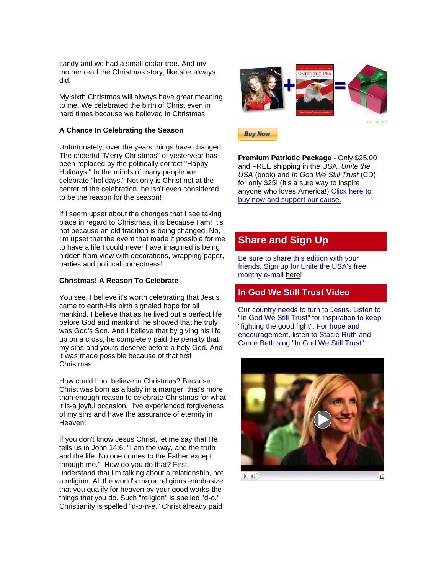candy and we had a small cedar tree. And my mother read the Christmas story, like she always did.

My sixth Christmas will always have great meaning to me. We celebrated the birth of Christ even in hard times because we believed in Christmas.

#### **A Chance In Celebrating the Season**

Unfortunately, over the years things have changed. The cheerful "Merry Christmas" of yesteryear has been replaced by the politically correct "Happy Holidays!" In the minds of many people we celebrate "holidays." Not only is Christ not at the center of the celebration, he isn't even considered to be the reason for the season!

If I seem upset about the changes that I see taking place in regard to Christmas, it is because I am! It's not because an old tradition is being changed. No, I'm upset that the event that made it possible for me to have a life I could never have imagined is being hidden from view with decorations, wrapping paper, parties and political correctness!

#### **Christmas! A Reason To Celebrate**

You see, I believe it's worth celebrating that Jesus came to earth-His birth signaled hope for all mankind. I believe that as he lived out a perfect life before God and mankind, he showed that he truly was God's Son. And I believe that by giving his life up on a cross, he completely paid the penalty that my sins-and yours-deserve before a holy God. And it was made possible because of that first Christmas.

How could I not believe in Christmas? Because Christ was born as a baby in a manger, that's more than enough reason to celebrate Christmas for what it is-a joyful occasion. I've experienced forgiveness of my sins and have the assurance of eternity in Heaven!

If you don't know Jesus Christ, let me say that He tells us in John 14:6, "I am the way, and the truth and the life. No one comes to the Father except through me." How do you do that? First, understand that I'm talking about a relationship, not a religion. All the world's major religions emphasize that you qualify for heaven by your good works-the things that you do. Such "religion" is spelled "d-o." Christianity is spelled "d-o-n-e." Christ already paid





**Premium Patriotic Package** - Only \$25.00 and FREE shipping in the USA. *Unite the USA* (book) and *In God We Still Trust* (CD) for only \$25! (It's a sure way to inspire anyone who loves America!) [Click here to](http://unitetheusa.org/id56.html)  [buy now and support our cause.](http://unitetheusa.org/id56.html)

# **Share and Sign Up**

Be sure to share this edition with your friends. Sign up for Unite the USA's free monthy e-mail [here!](http://r20.rs6.net/tn.jsp?e=001I5X71daTzAokpKkQ6KekaZax3aBy_YRWTDdVDM8YqYCq9bHXE__S7GA9k8vQflZ-tR8qL7_x9YSDqQ8hU-2fAdhqKmyVmVlwYyvJ3dIcxAe_3EmyeqiJhPBzfKksCqL8)

### **In God We Still Trust Video**

Our country needs to turn to Jesus. Listen to "In God We Still Trust" for inspiration to keep "fighting the good fight". For hope and encouragement, listen to Stacie Ruth and Carrie Beth sing "In God We Still Trust".



 $\blacktriangleright$  4)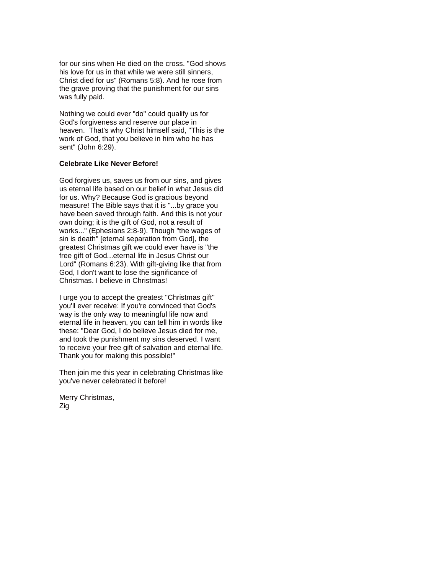for our sins when He died on the cross. "God shows his love for us in that while we were still sinners, Christ died for us" (Romans 5:8). And he rose from the grave proving that the punishment for our sins was fully paid.

Nothing we could ever "do" could qualify us for God's forgiveness and reserve our place in heaven. That's why Christ himself said, "This is the work of God, that you believe in him who he has sent" (John 6:29).

#### **Celebrate Like Never Before!**

God forgives us, saves us from our sins, and gives us eternal life based on our belief in what Jesus did for us. Why? Because God is gracious beyond measure! The Bible says that it is "...by grace you have been saved through faith. And this is not your own doing; it is the gift of God, not a result of works..." (Ephesians 2:8-9). Though "the wages of sin is death" [eternal separation from God], the greatest Christmas gift we could ever have is "the free gift of God...eternal life in Jesus Christ our Lord" (Romans 6:23). With gift-giving like that from God, I don't want to lose the significance of Christmas. I believe in Christmas!

I urge you to accept the greatest "Christmas gift" you'll ever receive: If you're convinced that God's way is the only way to meaningful life now and eternal life in heaven, you can tell him in words like these: "Dear God, I do believe Jesus died for me, and took the punishment my sins deserved. I want to receive your free gift of salvation and eternal life. Thank you for making this possible!"

Then join me this year in celebrating Christmas like you've never celebrated it before!

Merry Christmas, Zig